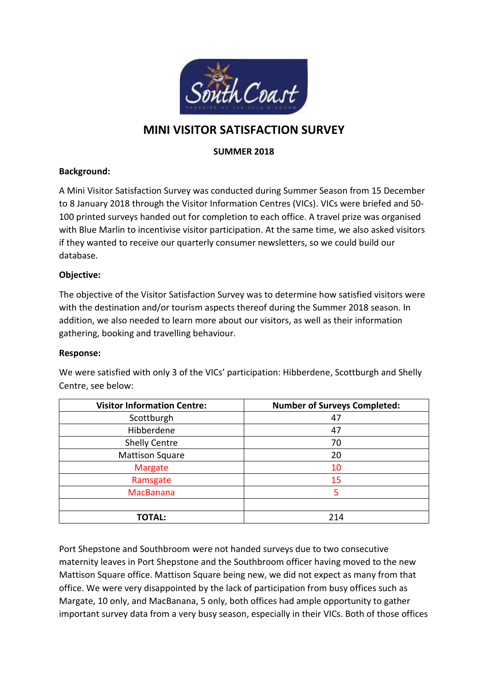

# **MINI VISITOR SATISFACTION SURVEY**

### **SUMMER 2018**

### **Background:**

A Mini Visitor Satisfaction Survey was conducted during Summer Season from 15 December to 8 January 2018 through the Visitor Information Centres (VICs). VICs were briefed and 50- 100 printed surveys handed out for completion to each office. A travel prize was organised with Blue Marlin to incentivise visitor participation. At the same time, we also asked visitors if they wanted to receive our quarterly consumer newsletters, so we could build our database.

### **Objective:**

The objective of the Visitor Satisfaction Survey was to determine how satisfied visitors were with the destination and/or tourism aspects thereof during the Summer 2018 season. In addition, we also needed to learn more about our visitors, as well as their information gathering, booking and travelling behaviour.

#### **Response:**

We were satisfied with only 3 of the VICs' participation: Hibberdene, Scottburgh and Shelly Centre, see below:

| <b>Visitor Information Centre:</b> | <b>Number of Surveys Completed:</b> |
|------------------------------------|-------------------------------------|
| Scottburgh                         | 47                                  |
| Hibberdene                         | 47                                  |
| <b>Shelly Centre</b>               | 70                                  |
| <b>Mattison Square</b>             | 20                                  |
| <b>Margate</b>                     | 10                                  |
| Ramsgate                           | 15                                  |
| <b>MacBanana</b>                   | 5                                   |
|                                    |                                     |
| <b>TOTAL:</b>                      | 214                                 |

Port Shepstone and Southbroom were not handed surveys due to two consecutive maternity leaves in Port Shepstone and the Southbroom officer having moved to the new Mattison Square office. Mattison Square being new, we did not expect as many from that office. We were very disappointed by the lack of participation from busy offices such as Margate, 10 only, and MacBanana, 5 only, both offices had ample opportunity to gather important survey data from a very busy season, especially in their VICs. Both of those offices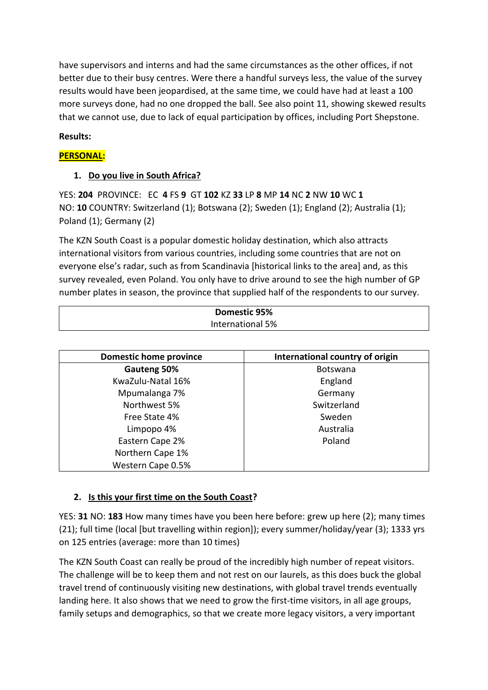have supervisors and interns and had the same circumstances as the other offices, if not better due to their busy centres. Were there a handful surveys less, the value of the survey results would have been jeopardised, at the same time, we could have had at least a 100 more surveys done, had no one dropped the ball. See also point 11, showing skewed results that we cannot use, due to lack of equal participation by offices, including Port Shepstone.

# **Results:**

# **PERSONAL:**

# **1. Do you live in South Africa?**

YES: **204** PROVINCE: EC **4** FS **9** GT **102** KZ **33** LP **8** MP **14** NC **2** NW **10** WC **1** NO: **10** COUNTRY: Switzerland (1); Botswana (2); Sweden (1); England (2); Australia (1); Poland (1); Germany (2)

The KZN South Coast is a popular domestic holiday destination, which also attracts international visitors from various countries, including some countries that are not on everyone else's radar, such as from Scandinavia [historical links to the area] and, as this survey revealed, even Poland. You only have to drive around to see the high number of GP number plates in season, the province that supplied half of the respondents to our survey.

| Domestic 95%     |
|------------------|
| International 5% |
|                  |

| <b>Domestic home province</b> | International country of origin |
|-------------------------------|---------------------------------|
| Gauteng 50%                   | <b>Botswana</b>                 |
| KwaZulu-Natal 16%             | England                         |
| Mpumalanga 7%                 | Germany                         |
| Northwest 5%                  | Switzerland                     |
| Free State 4%                 | Sweden                          |
| Limpopo 4%                    | Australia                       |
| Eastern Cape 2%               | Poland                          |
| Northern Cape 1%              |                                 |
| Western Cape 0.5%             |                                 |

# **2. Is this your first time on the South Coast?**

YES: **31** NO: **183** How many times have you been here before: grew up here (2); many times (21); full time (local [but travelling within region]); every summer/holiday/year (3); 1333 yrs on 125 entries (average: more than 10 times)

The KZN South Coast can really be proud of the incredibly high number of repeat visitors. The challenge will be to keep them and not rest on our laurels, as this does buck the global travel trend of continuously visiting new destinations, with global travel trends eventually landing here. It also shows that we need to grow the first-time visitors, in all age groups, family setups and demographics, so that we create more legacy visitors, a very important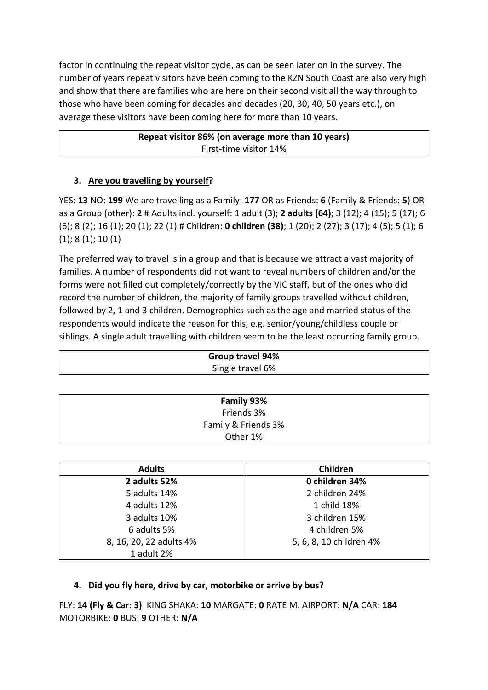factor in continuing the repeat visitor cycle, as can be seen later on in the survey. The number of years repeat visitors have been coming to the KZN South Coast are also very high and show that there are families who are here on their second visit all the way through to those who have been coming for decades and decades (20, 30, 40, 50 years etc.), on average these visitors have been coming here for more than 10 years.

```
Repeat visitor 86% (on average more than 10 years)
   First-time visitor 14%
```
# **3. Are you travelling by yourself?**

YES: **13** NO: **199** We are travelling as a Family: **177** OR as Friends: **6** (Family & Friends: **5**) OR as a Group (other): **2** # Adults incl. yourself: 1 adult (3); **2 adults (64)**; 3 (12); 4 (15); 5 (17); 6 (6); 8 (2); 16 (1); 20 (1); 22 (1) # Children: **0 children (38)**; 1 (20); 2 (27); 3 (17); 4 (5); 5 (1); 6 (1); 8 (1); 10 (1)

The preferred way to travel is in a group and that is because we attract a vast majority of families. A number of respondents did not want to reveal numbers of children and/or the forms were not filled out completely/correctly by the VIC staff, but of the ones who did record the number of children, the majority of family groups travelled without children, followed by 2, 1 and 3 children. Demographics such as the age and married status of the respondents would indicate the reason for this, e.g. senior/young/childless couple or siblings. A single adult travelling with children seem to be the least occurring family group.

| Group travel 94%<br>Single travel 6% |            |  |
|--------------------------------------|------------|--|
|                                      |            |  |
|                                      | Family 93% |  |
|                                      | Friends 3% |  |

| Family & Friends 3% |                |  |
|---------------------|----------------|--|
| Other 1%            |                |  |
|                     |                |  |
| <b>Adults</b>       | Children       |  |
| 2 adults 52%        | 0 children 34% |  |

| .                       | --------                |  |
|-------------------------|-------------------------|--|
| 2 adults 52%            | 0 children 34%          |  |
| 5 adults 14%            | 2 children 24%          |  |
| 4 adults 12%            | 1 child 18%             |  |
| 3 adults 10%            | 3 children 15%          |  |
| 6 adults 5%             | 4 children 5%           |  |
| 8, 16, 20, 22 adults 4% | 5, 6, 8, 10 children 4% |  |
| 1 adult 2%              |                         |  |
|                         |                         |  |

# **4. Did you fly here, drive by car, motorbike or arrive by bus?**

FLY: **14 (Fly & Car: 3)** KING SHAKA: **10** MARGATE: **0** RATE M. AIRPORT: **N/A** CAR: **184** MOTORBIKE: **0** BUS: **9** OTHER: **N/A**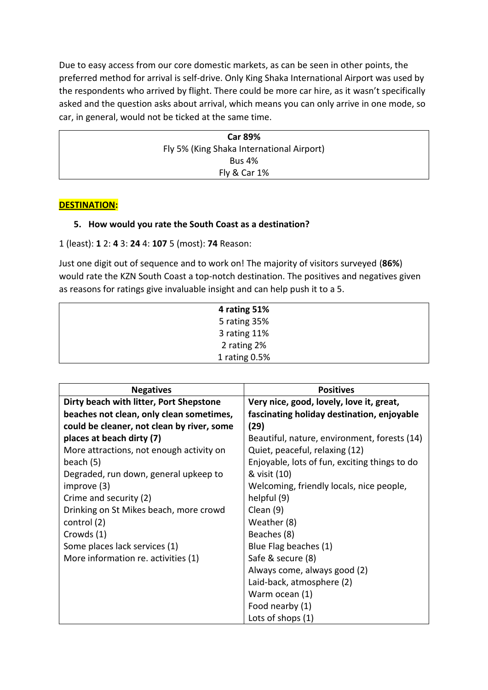Due to easy access from our core domestic markets, as can be seen in other points, the preferred method for arrival is self-drive. Only King Shaka International Airport was used by the respondents who arrived by flight. There could be more car hire, as it wasn't specifically asked and the question asks about arrival, which means you can only arrive in one mode, so car, in general, would not be ticked at the same time.

| <b>Car 89%</b>                            |  |
|-------------------------------------------|--|
| Fly 5% (King Shaka International Airport) |  |
| <b>Bus 4%</b>                             |  |
| <b>Fly &amp; Car 1%</b>                   |  |

### **DESTINATION:**

### **5. How would you rate the South Coast as a destination?**

1 (least): **1** 2: **4** 3: **24** 4: **107** 5 (most): **74** Reason:

Just one digit out of sequence and to work on! The majority of visitors surveyed (**86%**) would rate the KZN South Coast a top-notch destination. The positives and negatives given as reasons for ratings give invaluable insight and can help push it to a 5.

| 4 rating 51%  |  |
|---------------|--|
| 5 rating 35%  |  |
| 3 rating 11%  |  |
| 2 rating 2%   |  |
| 1 rating 0.5% |  |

| <b>Negatives</b>                           | <b>Positives</b>                              |
|--------------------------------------------|-----------------------------------------------|
| Dirty beach with litter, Port Shepstone    | Very nice, good, lovely, love it, great,      |
| beaches not clean, only clean sometimes,   | fascinating holiday destination, enjoyable    |
| could be cleaner, not clean by river, some | (29)                                          |
| places at beach dirty (7)                  | Beautiful, nature, environment, forests (14)  |
| More attractions, not enough activity on   | Quiet, peaceful, relaxing (12)                |
| beach (5)                                  | Enjoyable, lots of fun, exciting things to do |
| Degraded, run down, general upkeep to      | & visit (10)                                  |
| improve (3)                                | Welcoming, friendly locals, nice people,      |
| Crime and security (2)                     | helpful (9)                                   |
| Drinking on St Mikes beach, more crowd     | Clean (9)                                     |
| control (2)                                | Weather (8)                                   |
| Crowds (1)                                 | Beaches (8)                                   |
| Some places lack services (1)              | Blue Flag beaches (1)                         |
| More information re. activities (1)        | Safe & secure (8)                             |
|                                            | Always come, always good (2)                  |
|                                            | Laid-back, atmosphere (2)                     |
|                                            | Warm ocean (1)                                |
|                                            | Food nearby (1)                               |
|                                            | Lots of shops (1)                             |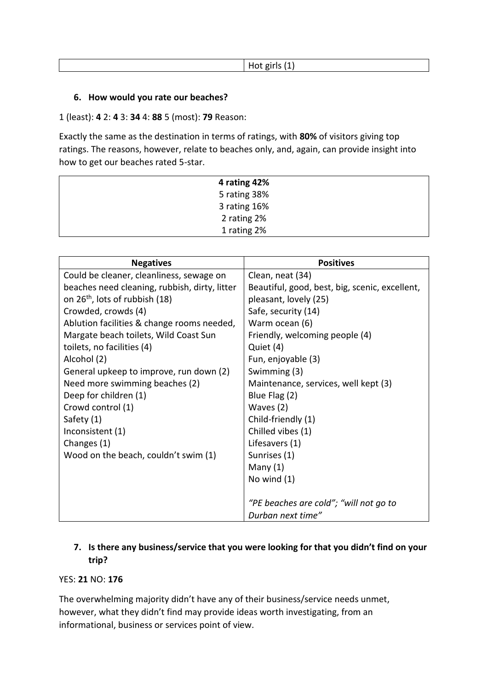### **6. How would you rate our beaches?**

1 (least): **4** 2: **4** 3: **34** 4: **88** 5 (most): **79** Reason:

Exactly the same as the destination in terms of ratings, with **80%** of visitors giving top ratings. The reasons, however, relate to beaches only, and, again, can provide insight into how to get our beaches rated 5-star.

| 4 rating 42% |  |
|--------------|--|
| 5 rating 38% |  |
| 3 rating 16% |  |
| 2 rating 2%  |  |
| 1 rating 2%  |  |

| <b>Negatives</b>                              | <b>Positives</b>                               |
|-----------------------------------------------|------------------------------------------------|
| Could be cleaner, cleanliness, sewage on      | Clean, neat (34)                               |
| beaches need cleaning, rubbish, dirty, litter | Beautiful, good, best, big, scenic, excellent, |
| on 26 <sup>th</sup> , lots of rubbish (18)    | pleasant, lovely (25)                          |
| Crowded, crowds (4)                           | Safe, security (14)                            |
| Ablution facilities & change rooms needed,    | Warm ocean (6)                                 |
| Margate beach toilets, Wild Coast Sun         | Friendly, welcoming people (4)                 |
| toilets, no facilities (4)                    | Quiet (4)                                      |
| Alcohol (2)                                   | Fun, enjoyable (3)                             |
| General upkeep to improve, run down (2)       | Swimming (3)                                   |
| Need more swimming beaches (2)                | Maintenance, services, well kept (3)           |
| Deep for children (1)                         | Blue Flag (2)                                  |
| Crowd control (1)                             | Waves (2)                                      |
| Safety (1)                                    | Child-friendly (1)                             |
| Inconsistent (1)                              | Chilled vibes (1)                              |
| Changes (1)                                   | Lifesavers (1)                                 |
| Wood on the beach, couldn't swim (1)          | Sunrises (1)                                   |
|                                               | Many $(1)$                                     |
|                                               | No wind $(1)$                                  |
|                                               |                                                |
|                                               | "PE beaches are cold"; "will not go to         |
|                                               | Durban next time"                              |

# **7. Is there any business/service that you were looking for that you didn't find on your trip?**

#### YES: **21** NO: **176**

The overwhelming majority didn't have any of their business/service needs unmet, however, what they didn't find may provide ideas worth investigating, from an informational, business or services point of view.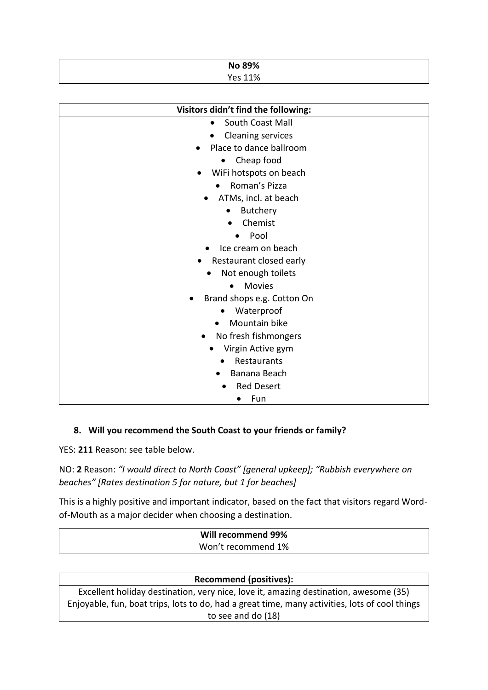| No 89%         |  |
|----------------|--|
| <b>Yes 11%</b> |  |

| Visitors didn't find the following: |
|-------------------------------------|
| South Coast Mall                    |
| <b>Cleaning services</b>            |
| Place to dance ballroom             |
| Cheap food<br>$\bullet$             |
| WiFi hotspots on beach              |
| Roman's Pizza                       |
| ATMs, incl. at beach                |
| Butchery                            |
| Chemist                             |
| Pool                                |
| Ice cream on beach                  |
| Restaurant closed early             |
| Not enough toilets                  |
| <b>Movies</b><br>$\bullet$          |
| Brand shops e.g. Cotton On          |
| Waterproof                          |
| Mountain bike                       |
| No fresh fishmongers                |
| Virgin Active gym                   |
| Restaurants                         |
| Banana Beach                        |
| <b>Red Desert</b>                   |
| Fun<br>$\bullet$                    |

### **8. Will you recommend the South Coast to your friends or family?**

YES: **211** Reason: see table below.

NO: **2** Reason: *"I would direct to North Coast" [general upkeep]; "Rubbish everywhere on beaches" [Rates destination 5 for nature, but 1 for beaches]*

This is a highly positive and important indicator, based on the fact that visitors regard Wordof-Mouth as a major decider when choosing a destination.

| Will recommend 99% |  |
|--------------------|--|
| Won't recommend 1% |  |
|                    |  |

#### **Recommend (positives):**

Excellent holiday destination, very nice, love it, amazing destination, awesome (35) Enjoyable, fun, boat trips, lots to do, had a great time, many activities, lots of cool things to see and do (18)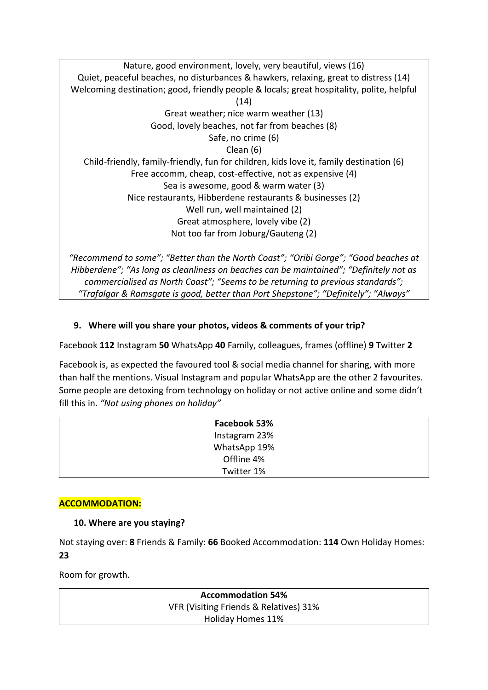Nature, good environment, lovely, very beautiful, views (16) Quiet, peaceful beaches, no disturbances & hawkers, relaxing, great to distress (14) Welcoming destination; good, friendly people & locals; great hospitality, polite, helpful (14) Great weather; nice warm weather (13) Good, lovely beaches, not far from beaches (8) Safe, no crime (6) Clean (6) Child-friendly, family-friendly, fun for children, kids love it, family destination (6) Free accomm, cheap, cost-effective, not as expensive (4) Sea is awesome, good & warm water (3) Nice restaurants, Hibberdene restaurants & businesses (2) Well run, well maintained (2) Great atmosphere, lovely vibe (2) Not too far from Joburg/Gauteng (2)

*"Recommend to some"; "Better than the North Coast"; "Oribi Gorge"; "Good beaches at Hibberdene"; "As long as cleanliness on beaches can be maintained"; "Definitely not as commercialised as North Coast"; "Seems to be returning to previous standards"; "Trafalgar & Ramsgate is good, better than Port Shepstone"; "Definitely"; "Always"*

# **9. Where will you share your photos, videos & comments of your trip?**

Facebook **112** Instagram **50** WhatsApp **40** Family, colleagues, frames (offline) **9** Twitter **2**

Facebook is, as expected the favoured tool & social media channel for sharing, with more than half the mentions. Visual Instagram and popular WhatsApp are the other 2 favourites. Some people are detoxing from technology on holiday or not active online and some didn't fill this in. *"Not using phones on holiday"*

| Facebook 53%  |  |
|---------------|--|
| Instagram 23% |  |
| WhatsApp 19%  |  |
| Offline 4%    |  |
| Twitter 1%    |  |

# **ACCOMMODATION:**

### **10. Where are you staying?**

Not staying over: **8** Friends & Family: **66** Booked Accommodation: **114** Own Holiday Homes: **23**

Room for growth.

**Accommodation 54%** VFR (Visiting Friends & Relatives) 31% Holiday Homes 11%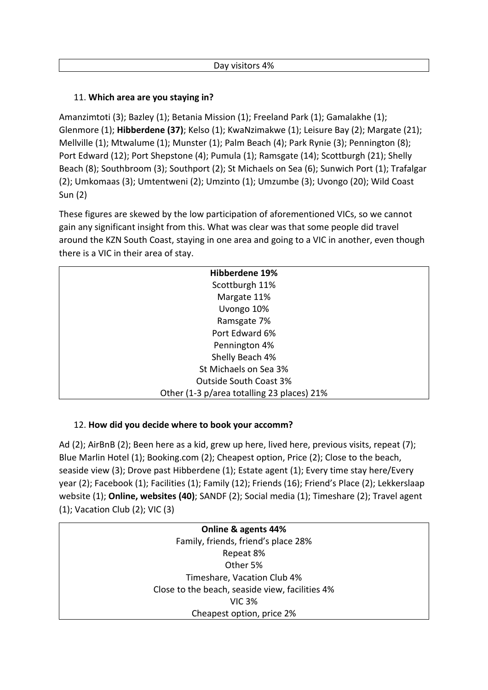## 11. **Which area are you staying in?**

Amanzimtoti (3); Bazley (1); Betania Mission (1); Freeland Park (1); Gamalakhe (1); Glenmore (1); **Hibberdene (37)**; Kelso (1); KwaNzimakwe (1); Leisure Bay (2); Margate (21); Mellville (1); Mtwalume (1); Munster (1); Palm Beach (4); Park Rynie (3); Pennington (8); Port Edward (12); Port Shepstone (4); Pumula (1); Ramsgate (14); Scottburgh (21); Shelly Beach (8); Southbroom (3); Southport (2); St Michaels on Sea (6); Sunwich Port (1); Trafalgar (2); Umkomaas (3); Umtentweni (2); Umzinto (1); Umzumbe (3); Uvongo (20); Wild Coast Sun (2)

These figures are skewed by the low participation of aforementioned VICs, so we cannot gain any significant insight from this. What was clear was that some people did travel around the KZN South Coast, staying in one area and going to a VIC in another, even though there is a VIC in their area of stay.

| <b>Hibberdene 19%</b>                      |
|--------------------------------------------|
| Scottburgh 11%                             |
| Margate 11%                                |
| Uvongo 10%                                 |
| Ramsgate 7%                                |
| Port Edward 6%                             |
| Pennington 4%                              |
| Shelly Beach 4%                            |
| St Michaels on Sea 3%                      |
| <b>Outside South Coast 3%</b>              |
| Other (1-3 p/area totalling 23 places) 21% |

### 12. **How did you decide where to book your accomm?**

Ad (2); AirBnB (2); Been here as a kid, grew up here, lived here, previous visits, repeat (7); Blue Marlin Hotel (1); Booking.com (2); Cheapest option, Price (2); Close to the beach, seaside view (3); Drove past Hibberdene (1); Estate agent (1); Every time stay here/Every year (2); Facebook (1); Facilities (1); Family (12); Friends (16); Friend's Place (2); Lekkerslaap website (1); **Online, websites (40)**; SANDF (2); Social media (1); Timeshare (2); Travel agent (1); Vacation Club (2); VIC (3)

> **Online & agents 44%** Family, friends, friend's place 28% Repeat 8% Other 5% Timeshare, Vacation Club 4% Close to the beach, seaside view, facilities 4% VIC 3% Cheapest option, price 2%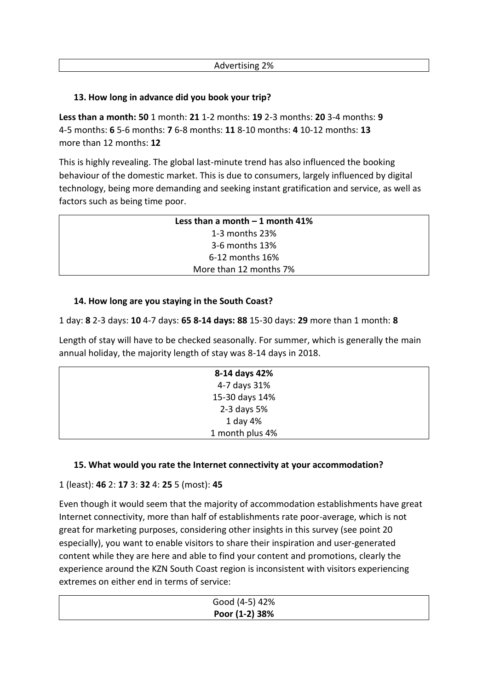## **13. How long in advance did you book your trip?**

**Less than a month: 50** 1 month: **21** 1-2 months: **19** 2-3 months: **20** 3-4 months: **9** 4-5 months: **6** 5-6 months: **7** 6-8 months: **11** 8-10 months: **4** 10-12 months: **13** more than 12 months: **12**

This is highly revealing. The global last-minute trend has also influenced the booking behaviour of the domestic market. This is due to consumers, largely influenced by digital technology, being more demanding and seeking instant gratification and service, as well as factors such as being time poor.

| Less than a month $-1$ month 41% |
|----------------------------------|
| 1-3 months 23%                   |
| 3-6 months 13%                   |
| $6-12$ months $16\%$             |
| More than 12 months 7%           |

# **14. How long are you staying in the South Coast?**

1 day: **8** 2-3 days: **10** 4-7 days: **65 8-14 days: 88** 15-30 days: **29** more than 1 month: **8**

Length of stay will have to be checked seasonally. For summer, which is generally the main annual holiday, the majority length of stay was 8-14 days in 2018.

| 8-14 days 42%   |  |
|-----------------|--|
| 4-7 days 31%    |  |
| 15-30 days 14%  |  |
| 2-3 days 5%     |  |
| 1 day 4%        |  |
| 1 month plus 4% |  |
|                 |  |

# **15. What would you rate the Internet connectivity at your accommodation?**

1 (least): **46** 2: **17** 3: **32** 4: **25** 5 (most): **45**

Even though it would seem that the majority of accommodation establishments have great Internet connectivity, more than half of establishments rate poor-average, which is not great for marketing purposes, considering other insights in this survey (see point 20 especially), you want to enable visitors to share their inspiration and user-generated content while they are here and able to find your content and promotions, clearly the experience around the KZN South Coast region is inconsistent with visitors experiencing extremes on either end in terms of service:

| Good (4-5) 42% |  |
|----------------|--|
| Poor (1-2) 38% |  |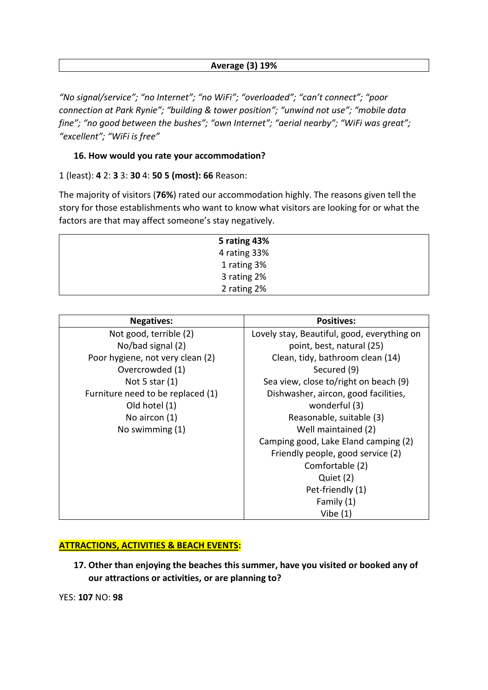### **Average (3) 19%**

*"No signal/service"; "no Internet"; "no WiFi"; "overloaded"; "can't connect"; "poor connection at Park Rynie"; "building & tower position"; "unwind not use"; "mobile data fine"; "no good between the bushes"; "own Internet"; "aerial nearby"; "WiFi was great"; "excellent"; "WiFi is free"*

### **16. How would you rate your accommodation?**

1 (least): **4** 2: **3** 3: **30** 4: **50 5 (most): 66** Reason:

The majority of visitors (**76%**) rated our accommodation highly. The reasons given tell the story for those establishments who want to know what visitors are looking for or what the factors are that may affect someone's stay negatively.

| 5 rating 43% |  |
|--------------|--|
| 4 rating 33% |  |
| 1 rating 3%  |  |
| 3 rating 2%  |  |
| 2 rating 2%  |  |

| <b>Negatives:</b>                 | <b>Positives:</b>                           |  |
|-----------------------------------|---------------------------------------------|--|
| Not good, terrible (2)            | Lovely stay, Beautiful, good, everything on |  |
| No/bad signal (2)                 | point, best, natural (25)                   |  |
| Poor hygiene, not very clean (2)  | Clean, tidy, bathroom clean (14)            |  |
| Overcrowded (1)                   | Secured (9)                                 |  |
| Not 5 star $(1)$                  | Sea view, close to/right on beach (9)       |  |
| Furniture need to be replaced (1) | Dishwasher, aircon, good facilities,        |  |
| Old hotel (1)                     | wonderful (3)                               |  |
| No aircon $(1)$                   | Reasonable, suitable (3)                    |  |
| No swimming (1)                   | Well maintained (2)                         |  |
|                                   | Camping good, Lake Eland camping (2)        |  |
|                                   | Friendly people, good service (2)           |  |
|                                   | Comfortable (2)                             |  |
|                                   | Quiet (2)                                   |  |
|                                   | Pet-friendly (1)                            |  |
|                                   | Family (1)                                  |  |
|                                   | Vibe $(1)$                                  |  |

#### **ATTRACTIONS, ACTIVITIES & BEACH EVENTS:**

**17. Other than enjoying the beaches this summer, have you visited or booked any of our attractions or activities, or are planning to?**

YES: **107** NO: **98**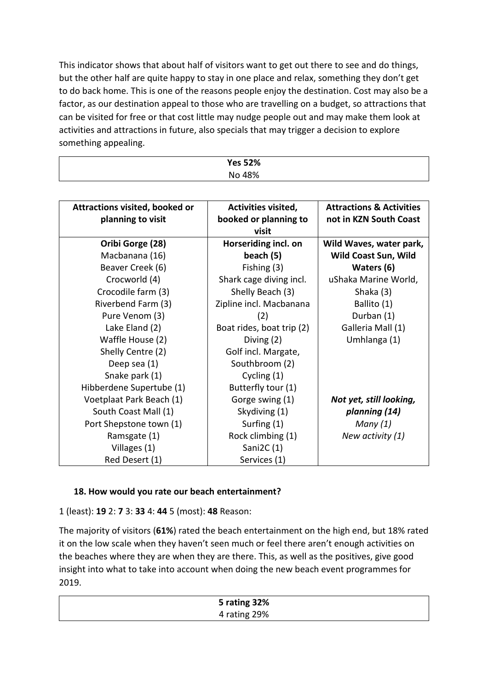This indicator shows that about half of visitors want to get out there to see and do things, but the other half are quite happy to stay in one place and relax, something they don't get to do back home. This is one of the reasons people enjoy the destination. Cost may also be a factor, as our destination appeal to those who are travelling on a budget, so attractions that can be visited for free or that cost little may nudge people out and may make them look at activities and attractions in future, also specials that may trigger a decision to explore something appealing.

| <b>Yes 52%</b> |  |
|----------------|--|
| No 48%         |  |

| <b>Attractions visited, booked or</b> | <b>Activities visited,</b> | <b>Attractions &amp; Activities</b> |
|---------------------------------------|----------------------------|-------------------------------------|
| planning to visit                     | booked or planning to      | not in KZN South Coast              |
|                                       | visit                      |                                     |
| Oribi Gorge (28)                      | Horseriding incl. on       | Wild Waves, water park,             |
| Macbanana (16)                        | beach (5)                  | Wild Coast Sun, Wild                |
| Beaver Creek (6)                      | Fishing (3)                | Waters (6)                          |
| Crocworld (4)                         | Shark cage diving incl.    | uShaka Marine World,                |
| Crocodile farm (3)                    | Shelly Beach (3)           | Shaka (3)                           |
| Riverbend Farm (3)                    | Zipline incl. Macbanana    | Ballito (1)                         |
| Pure Venom (3)                        | (2)                        | Durban (1)                          |
| Lake Eland (2)                        | Boat rides, boat trip (2)  | Galleria Mall (1)                   |
| Waffle House (2)                      | Diving (2)                 | Umhlanga (1)                        |
| Shelly Centre (2)                     | Golf incl. Margate,        |                                     |
| Deep sea (1)                          | Southbroom (2)             |                                     |
| Snake park (1)                        | Cycling (1)                |                                     |
| Hibberdene Supertube (1)              | Butterfly tour (1)         |                                     |
| Voetplaat Park Beach (1)              | Gorge swing (1)            | Not yet, still looking,             |
| South Coast Mall (1)                  | Skydiving (1)              | planning (14)                       |
| Port Shepstone town (1)               | Surfing (1)                | Many $(1)$                          |
| Ramsgate (1)                          | Rock climbing (1)          | New activity (1)                    |
| Villages (1)                          | Sani2C $(1)$               |                                     |
| Red Desert (1)                        | Services (1)               |                                     |

# **18. How would you rate our beach entertainment?**

1 (least): **19** 2: **7** 3: **33** 4: **44** 5 (most): **48** Reason:

The majority of visitors (**61%**) rated the beach entertainment on the high end, but 18% rated it on the low scale when they haven't seen much or feel there aren't enough activities on the beaches where they are when they are there. This, as well as the positives, give good insight into what to take into account when doing the new beach event programmes for 2019.

| 5 rating 32% |  |
|--------------|--|
| 4 rating 29% |  |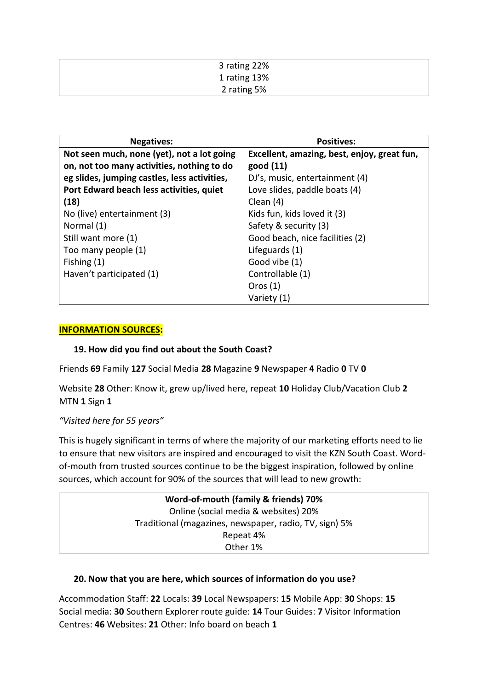| 3 rating 22% |
|--------------|
| 1 rating 13% |
| 2 rating 5%  |

| <b>Negatives:</b>                            | <b>Positives:</b>                           |  |
|----------------------------------------------|---------------------------------------------|--|
| Not seen much, none (yet), not a lot going   | Excellent, amazing, best, enjoy, great fun, |  |
| on, not too many activities, nothing to do   | good (11)                                   |  |
| eg slides, jumping castles, less activities, | DJ's, music, entertainment (4)              |  |
| Port Edward beach less activities, quiet     | Love slides, paddle boats (4)               |  |
| (18)                                         | Clean (4)                                   |  |
| No (live) entertainment (3)                  | Kids fun, kids loved it (3)                 |  |
| Normal (1)                                   | Safety & security (3)                       |  |
| Still want more (1)                          | Good beach, nice facilities (2)             |  |
| Too many people (1)                          | Lifeguards (1)                              |  |
| Fishing $(1)$                                | Good vibe (1)                               |  |
| Haven't participated (1)                     | Controllable (1)                            |  |
|                                              | Oros $(1)$                                  |  |
|                                              | Variety (1)                                 |  |

### **INFORMATION SOURCES:**

### **19. How did you find out about the South Coast?**

Friends **69** Family **127** Social Media **28** Magazine **9** Newspaper **4** Radio **0** TV **0**

Website **28** Other: Know it, grew up/lived here, repeat **10** Holiday Club/Vacation Club **2** MTN **1** Sign **1**

### *"Visited here for 55 years"*

This is hugely significant in terms of where the majority of our marketing efforts need to lie to ensure that new visitors are inspired and encouraged to visit the KZN South Coast. Wordof-mouth from trusted sources continue to be the biggest inspiration, followed by online sources, which account for 90% of the sources that will lead to new growth:

| Word-of-mouth (family & friends) 70%                   |  |  |
|--------------------------------------------------------|--|--|
| Online (social media & websites) 20%                   |  |  |
| Traditional (magazines, newspaper, radio, TV, sign) 5% |  |  |
| Repeat 4%                                              |  |  |
| Other 1%                                               |  |  |

#### **20. Now that you are here, which sources of information do you use?**

Accommodation Staff: **22** Locals: **39** Local Newspapers: **15** Mobile App: **30** Shops: **15** Social media: **30** Southern Explorer route guide: **14** Tour Guides: **7** Visitor Information Centres: **46** Websites: **21** Other: Info board on beach **1**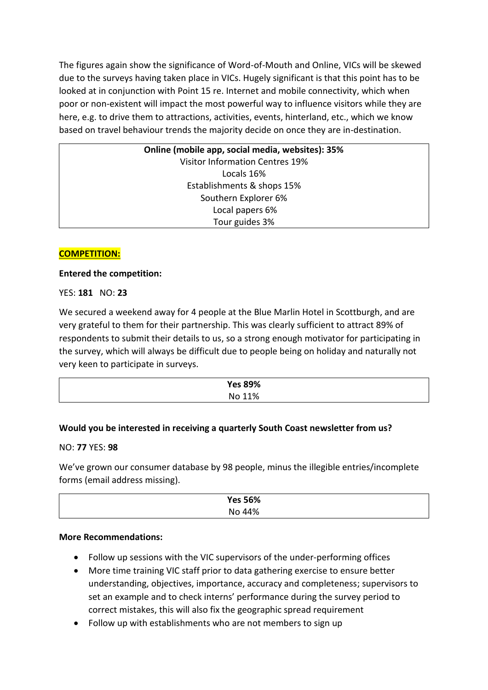The figures again show the significance of Word-of-Mouth and Online, VICs will be skewed due to the surveys having taken place in VICs. Hugely significant is that this point has to be looked at in conjunction with Point 15 re. Internet and mobile connectivity, which when poor or non-existent will impact the most powerful way to influence visitors while they are here, e.g. to drive them to attractions, activities, events, hinterland, etc., which we know based on travel behaviour trends the majority decide on once they are in-destination.

> **Online (mobile app, social media, websites): 35%** Visitor Information Centres 19% Locals 16% Establishments & shops 15% Southern Explorer 6% Local papers 6% Tour guides 3%

## **COMPETITION:**

### **Entered the competition:**

### YES: **181** NO: **23**

We secured a weekend away for 4 people at the Blue Marlin Hotel in Scottburgh, and are very grateful to them for their partnership. This was clearly sufficient to attract 89% of respondents to submit their details to us, so a strong enough motivator for participating in the survey, which will always be difficult due to people being on holiday and naturally not very keen to participate in surveys.

| <b>Yes 89%</b> |  |
|----------------|--|
| No 11%         |  |

### **Would you be interested in receiving a quarterly South Coast newsletter from us?**

#### NO: **77** YES: **98**

We've grown our consumer database by 98 people, minus the illegible entries/incomplete forms (email address missing).

| <b>Yes 56%</b> |  |
|----------------|--|
| No 44%         |  |

#### **More Recommendations:**

- Follow up sessions with the VIC supervisors of the under-performing offices
- More time training VIC staff prior to data gathering exercise to ensure better understanding, objectives, importance, accuracy and completeness; supervisors to set an example and to check interns' performance during the survey period to correct mistakes, this will also fix the geographic spread requirement
- Follow up with establishments who are not members to sign up